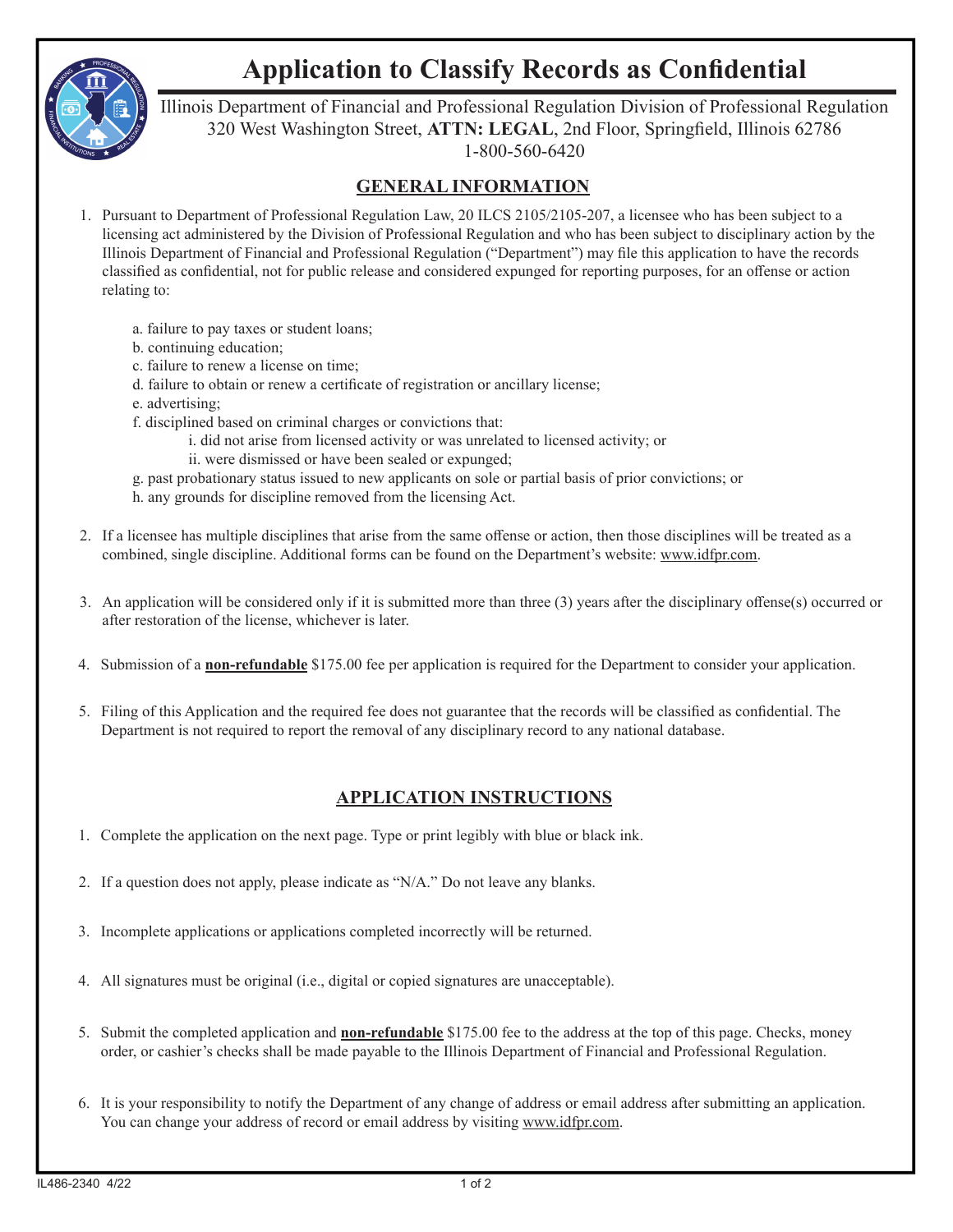

## **Application to Classify Records as Confidential**

Illinois Department of Financial and Professional Regulation Division of Professional Regulation 320 West Washington Street, ATTN: LEGAL, 2nd Floor, Springfield, Illinois 62786 1-800-560-6420

## **GENERAL INFORMATION**

- 1. Pursuant to Department of Professional Regulation Law, 20 ILCS 2105/2105-207, a licensee who has been subject to a licensing act administered by the Division of Professional Regulation and who has been subject to disciplinary action by the Illinois Department of Financial and Professional Regulation ("Department") may file this application to have the records classified as confidential, not for public release and considered expunged for reporting purposes, for an offense or action relating to:
	- a. failure to pay taxes or student loans;
	- b. continuing education;
	- c. failure to renew a license on time;
	- d. failure to obtain or renew a certificate of registration or ancillary license;
	- e. advertising;
	- f. disciplined based on criminal charges or convictions that:
		- i. did not arise from licensed activity or was unrelated to licensed activity; or
		- ii. were dismissed or have been sealed or expunged;
	- g. past probationary status issued to new applicants on sole or partial basis of prior convictions; or
	- h. any grounds for discipline removed from the licensing Act.
- 2. If a licensee has multiple disciplines that arise from the same offense or action, then those disciplines will be treated as a combined, single discipline. Additional forms can be found on the Department's website: www.idfpr.com.
- 3. An application will be considered only if it is submitted more than three  $(3)$  years after the disciplinary offense(s) occurred or after restoration of the license, whichever is later.
- 4. Submission of a **non-refundable** \$175.00 fee per application is required for the Department to consider your application.
- 5. Filing of this Application and the required fee does not guarantee that the records will be classified as confidential. The Department is not required to report the removal of any disciplinary record to any national database.

## **APPLICATION INSTRUCTIONS**

- 1. Complete the application on the next page. Type or print legibly with blue or black ink.
- 2. If a question does not apply, please indicate as "N/A." Do not leave any blanks.
- 3. Incomplete applications or applications completed incorrectly will be returned.
- 4. All signatures must be original (i.e., digital or copied signatures are unacceptable).
- 5. Submit the completed application and **non-refundable** \$175.00 fee to the address at the top of this page. Checks, money order, or cashier's checks shall be made payable to the Illinois Department of Financial and Professional Regulation.
- 6. It is your responsibility to notify the Department of any change of address or email address after submitting an application. You can change your address of record or email address by visiting www.idfpr.com.